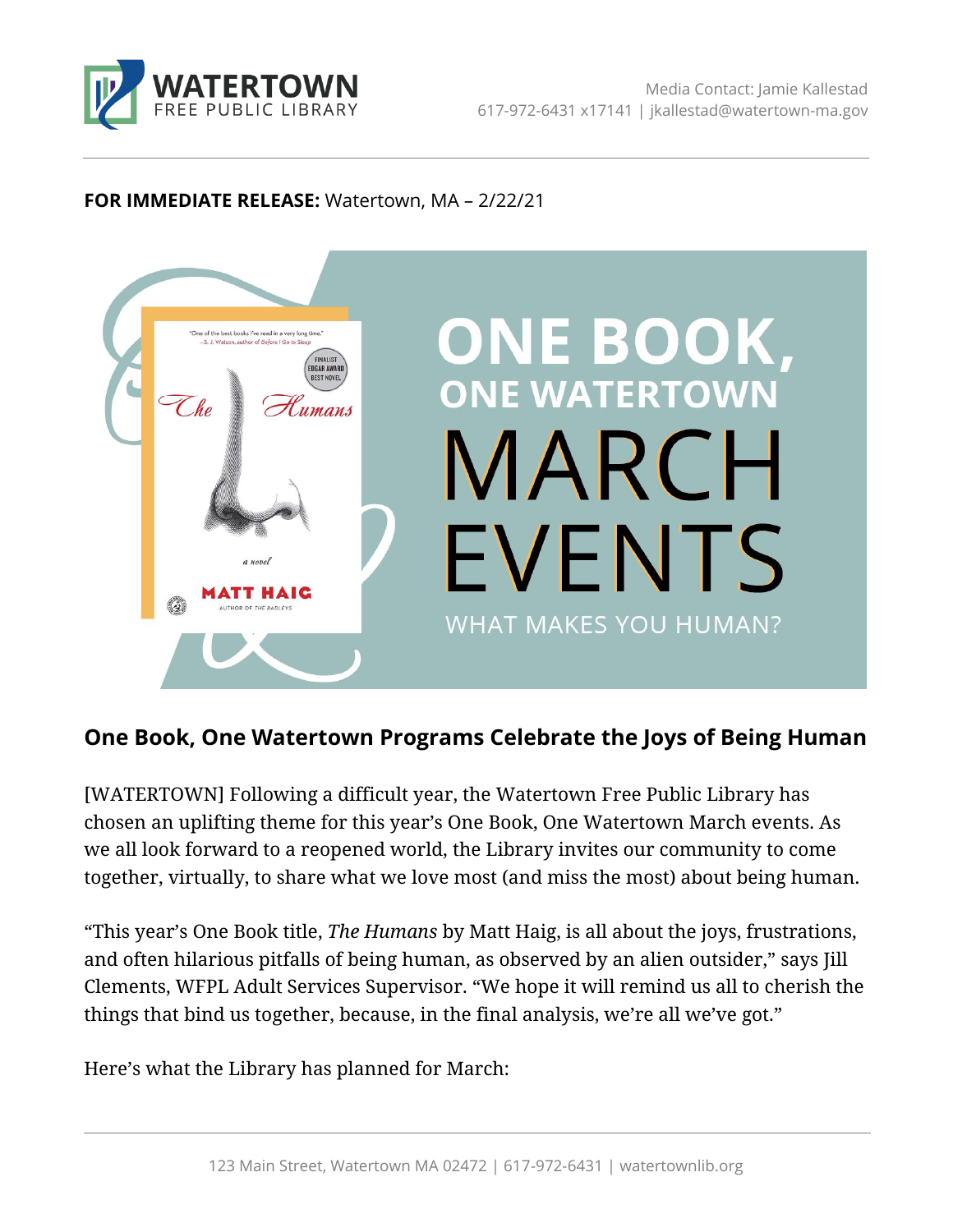

#### **FOR IMMEDIATE RELEASE:** Watertown, MA – 2/22/21



# **One Book, One Watertown Programs Celebrate the Joys of Being Human**

[WATERTOWN] Following a difficult year, the Watertown Free Public Library has chosen an uplifting theme for this year's One Book, One Watertown March events. As we all look forward to a reopened world, the Library invites our community to come together, virtually, to share what we love most (and miss the most) about being human.

"This year's One Book title, *The Humans* by Matt Haig, is all about the joys, frustrations, and often hilarious pitfalls of being human, as observed by an alien outsider," says Jill Clements, WFPL Adult Services Supervisor. "We hope it will remind us all to cherish the things that bind us together, because, in the final analysis, we're all we've got."

Here's what the Library has planned for March: